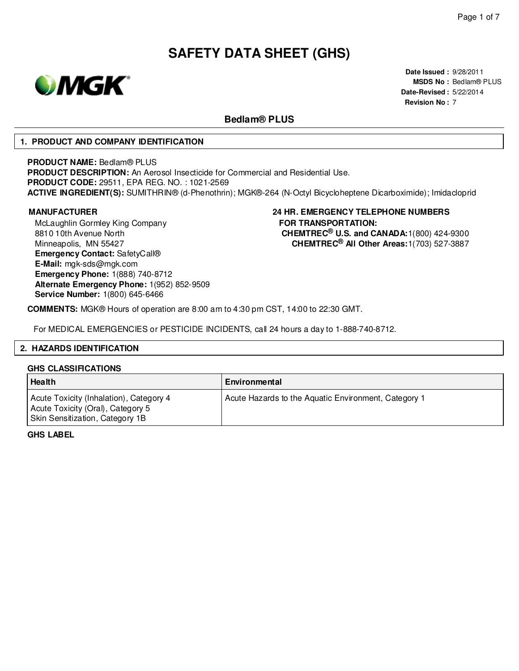

**Date Issued :** 9/28/2011 **MSDS No :** Bedlam® PLUS **Date-Revised :** 5/22/2014 **Revision No :** 7

# **Bedlam® PLUS**

### **1. PRODUCT AND COMPANY IDENTIFICATION**

#### **PRODUCT NAME:** Bedlam® PLUS

**PRODUCT DESCRIPTION:** An Aerosol Insecticide for Commercial and Residential Use. **PRODUCT CODE:** 29511, EPA REG. NO. : 1021-2569 **ACTIVE INGREDIENT(S):** SUMITHRIN® (d-Phenothrin); MGK®-264 (N-Octyl Bicycloheptene Dicarboximide); Imidacloprid

McLaughlin Gormley King Company 8810 10th Avenue North Minneapolis, MN 55427 **Emergency Contact:** SafetyCall® **E-Mail:** mgk-sds@mgk.com **Emergency Phone:** 1(888) 740-8712 **Alternate Emergency Phone:** 1(952) 852-9509 **Service Number:** 1(800) 645-6466

### **MANUFACTURER 24 HR. EMERGENCY TELEPHONE NUMBERS FOR TRANSPORTATION: CHEMTREC® U.S. and CANADA:**1(800) 424-9300 **CHEMTREC® All Other Areas:**1(703) 527-3887

**COMMENTS:** MGK® Hours of operation are 8:00 am to 4:30 pm CST, 14:00 to 22:30 GMT.

For MEDICAL EMERGENCIES or PESTICIDE INCIDENTS, call 24 hours a day to 1-888-740-8712.

#### **2. HAZARDS IDENTIFICATION**

#### **GHS CLASSIFICATIONS**

| Health                                                                                                          | Environmental                                        |
|-----------------------------------------------------------------------------------------------------------------|------------------------------------------------------|
| Acute Toxicity (Inhalation), Category 4<br>Acute Toxicity (Oral), Category 5<br>Skin Sensitization, Category 1B | Acute Hazards to the Aquatic Environment, Category 1 |

**GHS LABEL**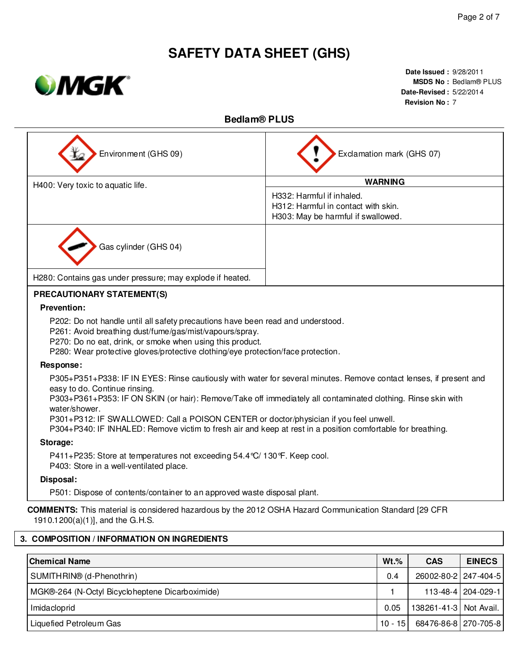

**Date Issued :** 9/28/2011 **MSDS No :** Bedlam® PLUS **Date-Revised :** 5/22/2014 **Revision No :** 7

# **Bedlam® PLUS**

| Environment (GHS 09)                                                                                                                                                                                                                                                                                                                                                                                                                                                                         | Exclamation mark (GHS 07)                                                                              |         |            |               |  |  |
|----------------------------------------------------------------------------------------------------------------------------------------------------------------------------------------------------------------------------------------------------------------------------------------------------------------------------------------------------------------------------------------------------------------------------------------------------------------------------------------------|--------------------------------------------------------------------------------------------------------|---------|------------|---------------|--|--|
| H400: Very toxic to aquatic life.                                                                                                                                                                                                                                                                                                                                                                                                                                                            | <b>WARNING</b>                                                                                         |         |            |               |  |  |
|                                                                                                                                                                                                                                                                                                                                                                                                                                                                                              | H332: Harmful if inhaled.<br>H312: Harmful in contact with skin.<br>H303: May be harmful if swallowed. |         |            |               |  |  |
| Gas cylinder (GHS 04)                                                                                                                                                                                                                                                                                                                                                                                                                                                                        |                                                                                                        |         |            |               |  |  |
| H280: Contains gas under pressure; may explode if heated.                                                                                                                                                                                                                                                                                                                                                                                                                                    |                                                                                                        |         |            |               |  |  |
| PRECAUTIONARY STATEMENT(S)                                                                                                                                                                                                                                                                                                                                                                                                                                                                   |                                                                                                        |         |            |               |  |  |
| <b>Prevention:</b>                                                                                                                                                                                                                                                                                                                                                                                                                                                                           |                                                                                                        |         |            |               |  |  |
| P202: Do not handle until all safety precautions have been read and understood.<br>P261: Avoid breathing dust/fume/gas/mist/vapours/spray.<br>P270: Do no eat, drink, or smoke when using this product.<br>P280: Wear protective gloves/protective clothing/eye protection/face protection.                                                                                                                                                                                                  |                                                                                                        |         |            |               |  |  |
| Response:                                                                                                                                                                                                                                                                                                                                                                                                                                                                                    |                                                                                                        |         |            |               |  |  |
| P305+P351+P338: IF IN EYES: Rinse cautiously with water for several minutes. Remove contact lenses, if present and<br>easy to do. Continue rinsing.<br>P303+P361+P353: IF ON SKIN (or hair): Remove/Take off immediately all contaminated clothing. Rinse skin with<br>water/shower.<br>P301+P312: IF SWALLOWED: Call a POISON CENTER or doctor/physician if you feel unwell.<br>P304+P340: IF INHALED: Remove victim to fresh air and keep at rest in a position comfortable for breathing. |                                                                                                        |         |            |               |  |  |
| Storage:                                                                                                                                                                                                                                                                                                                                                                                                                                                                                     |                                                                                                        |         |            |               |  |  |
| P411+P235: Store at temperatures not exceeding 54.4 °C/ 130 °F. Keep cool.<br>P403: Store in a well-ventilated place.                                                                                                                                                                                                                                                                                                                                                                        |                                                                                                        |         |            |               |  |  |
| Disposal:                                                                                                                                                                                                                                                                                                                                                                                                                                                                                    |                                                                                                        |         |            |               |  |  |
| P501: Dispose of contents/container to an approved waste disposal plant.                                                                                                                                                                                                                                                                                                                                                                                                                     |                                                                                                        |         |            |               |  |  |
| <b>COMMENTS:</b> This material is considered hazardous by the 2012 OSHA Hazard Communication Standard [29 CFR<br>1910.1200(a)(1)], and the G.H.S.                                                                                                                                                                                                                                                                                                                                            |                                                                                                        |         |            |               |  |  |
| 3. COMPOSITION / INFORMATION ON INGREDIENTS                                                                                                                                                                                                                                                                                                                                                                                                                                                  |                                                                                                        |         |            |               |  |  |
| <b>Chemical Name</b>                                                                                                                                                                                                                                                                                                                                                                                                                                                                         |                                                                                                        | $Wt.$ % | <b>CAS</b> | <b>EINECS</b> |  |  |
| SUMITHRIN® (d-Phenothrin)                                                                                                                                                                                                                                                                                                                                                                                                                                                                    | 0.4<br>26002-80-2<br>247-404-5                                                                         |         |            |               |  |  |

| MGK®-264 (N-Octyl Bicycloheptene Dicarboximide) |      |                                  | 113-48-4   204-029-1 |
|-------------------------------------------------|------|----------------------------------|----------------------|
| Imidacloprid                                    | 0.05 | 138261-41-3   Not Avail.         |                      |
| Liquefied Petroleum Gas                         |      | 10 - 15   68476-86-8   270-705-8 |                      |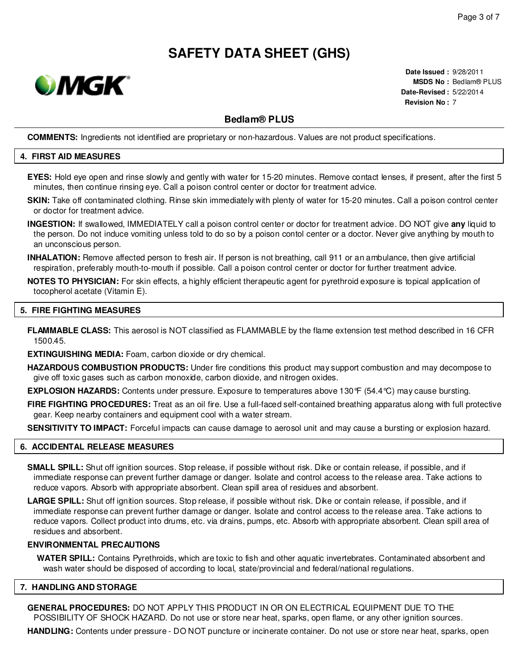

**Date Issued :** 9/28/2011 **MSDS No :** Bedlam® PLUS **Date-Revised :** 5/22/2014 **Revision No :** 7

# **Bedlam® PLUS**

**COMMENTS:** Ingredients not identified are proprietary or non-hazardous. Values are not product specifications.

#### **4. FIRST AID MEASURES**

- **EYES:** Hold eye open and rinse slowly and gently with water for 15-20 minutes. Remove contact lenses, if present, after the first 5 minutes, then continue rinsing eye. Call a poison control center or doctor for treatment advice.
- **SKIN:** Take off contaminated clothing. Rinse skin immediately with plenty of water for 15-20 minutes. Call a poison control center or doctor for treatment advice.
- **INGESTION:** If swallowed, IMMEDIATELY call a poison control center or doctor for treatment advice. DO NOT give **any** liquid to the person. Do not induce vomiting unless told to do so by a poison contol center or a doctor. Never give anything by mouth to an unconscious person.
- **INHALATION:** Remove affected person to fresh air. If person is not breathing, call 911 or an ambulance, then give artificial respiration, preferably mouth-to-mouth if possible. Call a poison control center or doctor for further treatment advice.
- **NOTES TO PHYSICIAN:** For skin effects, a highly efficient therapeutic agent for pyrethroid exposure is topical application of tocopherol acetate (Vitamin E).

#### **5. FIRE FIGHTING MEASURES**

**FLAMMABLE CLASS:** This aerosol is NOT classified as FLAMMABLE by the flame extension test method described in 16 CFR 1500.45.

**EXTINGUISHING MEDIA:** Foam, carbon dioxide or dry chemical.

**HAZARDOUS COMBUSTION PRODUCTS:** Under fire conditions this product may support combustion and may decompose to give off toxic gases such as carbon monoxide, carbon dioxide, and nitrogen oxides.

**EXPLOSION HAZARDS:** Contents under pressure. Exposure to temperatures above 130°F (54.4°C) may cause bursting.

**FIRE FIGHTING PROCEDURES:** Treat as an oil fire. Use a full-faced self-contained breathing apparatus along with full protective gear. Keep nearby containers and equipment cool with a water stream.

**SENSITIVITY TO IMPACT:** Forceful impacts can cause damage to aerosol unit and may cause a bursting or explosion hazard.

#### **6. ACCIDENTAL RELEASE MEASURES**

- **SMALL SPILL:** Shut off ignition sources. Stop release, if possible without risk. Dike or contain release, if possible, and if immediate response can prevent further damage or danger. Isolate and control access to the release area. Take actions to reduce vapors. Absorb with appropriate absorbent. Clean spill area of residues and absorbent.
- **LARGE SPILL:** Shut off ignition sources. Stop release, if possible without risk. Dike or contain release, if possible, and if immediate response can prevent further damage or danger. Isolate and control access to the release area. Take actions to reduce vapors. Collect product into drums, etc. via drains, pumps, etc. Absorb with appropriate absorbent. Clean spill area of residues and absorbent.

#### **ENVIRONMENTAL PRECAUTIONS**

**WATER SPILL:** Contains Pyrethroids, which are toxic to fish and other aquatic invertebrates. Contaminated absorbent and wash water should be disposed of according to local, state/provincial and federal/national regulations.

### **7. HANDLING AND STORAGE**

**GENERAL PROCEDURES:** DO NOT APPLY THIS PRODUCT IN OR ON ELECTRICAL EQUIPMENT DUE TO THE POSSIBILITY OF SHOCK HAZARD. Do not use or store near heat, sparks, open flame, or any other ignition sources.

**HANDLING:** Contents under pressure - DO NOT puncture or incinerate container. Do not use or store near heat, sparks, open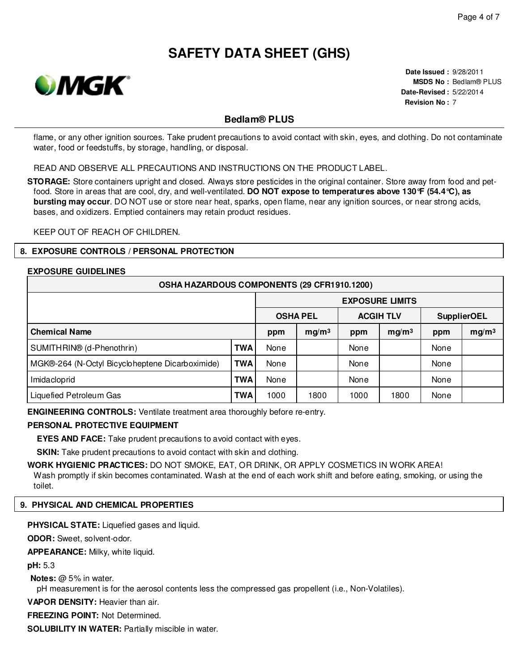

**Date Issued :** 9/28/2011 **MSDS No :** Bedlam® PLUS **Date-Revised :** 5/22/2014 **Revision No :** 7

### **Bedlam® PLUS**

flame, or any other ignition sources. Take prudent precautions to avoid contact with skin, eyes, and clothing. Do not contaminate water, food or feedstuffs, by storage, handling, or disposal.

READ AND OBSERVE ALL PRECAUTIONS AND INSTRUCTIONS ON THE PRODUCT LABEL.

**STORAGE:** Store containers upright and closed. Always store pesticides in the original container. Store away from food and petfood. Store in areas that are cool, dry, and well-ventilated. **DO NOT expose to temperatures above 130°F (54.4°C), as bursting may occur**. DO NOT use or store near heat, sparks, open flame, near any ignition sources, or near strong acids, bases, and oxidizers. Emptied containers may retain product residues.

KEEP OUT OF REACH OF CHILDREN.

#### **8. EXPOSURE CONTROLS / PERSONAL PROTECTION**

### **EXPOSURE GUIDELINES**

| OSHA HAZARDOUS COMPONENTS (29 CFR1910.1200)     |            |                        |                   |                  |                   |                    |                   |
|-------------------------------------------------|------------|------------------------|-------------------|------------------|-------------------|--------------------|-------------------|
|                                                 |            | <b>EXPOSURE LIMITS</b> |                   |                  |                   |                    |                   |
| <b>OSHA PEL</b>                                 |            |                        |                   | <b>ACGIH TLV</b> |                   | <b>SupplierOEL</b> |                   |
| <b>Chemical Name</b>                            |            | ppm                    | mg/m <sup>3</sup> | ppm              | mg/m <sup>3</sup> | ppm                | mg/m <sup>3</sup> |
| SUMITHRIN® (d-Phenothrin)                       | <b>TWA</b> | None                   |                   | None             |                   | None               |                   |
| MGK®-264 (N-Octyl Bicycloheptene Dicarboximide) | <b>TWA</b> | None                   |                   | None             |                   | None               |                   |
| Imidacloprid                                    | <b>TWA</b> | None                   |                   | None             |                   | None               |                   |
| Liquefied Petroleum Gas                         | <b>TWA</b> | 1000                   | 1800              | 1000             | 1800              | None               |                   |

**ENGINEERING CONTROLS:** Ventilate treatment area thoroughly before re-entry.

#### **PERSONAL PROTECTIVE EQUIPMENT**

**EYES AND FACE:** Take prudent precautions to avoid contact with eyes.

**SKIN:** Take prudent precautions to avoid contact with skin and clothing.

**WORK HYGIENIC PRACTICES:** DO NOT SMOKE, EAT, OR DRINK, OR APPLY COSMETICS IN WORK AREA! Wash promptly if skin becomes contaminated. Wash at the end of each work shift and before eating, smoking, or using the toilet.

#### **9. PHYSICAL AND CHEMICAL PROPERTIES**

**PHYSICAL STATE:** Liquefied gases and liquid.

**ODOR:** Sweet, solvent-odor.

**APPEARANCE:** Milky, white liquid.

**pH:** 5.3

**Notes:** @ 5% in water.

pH measurement is for the aerosol contents less the compressed gas propellent (i.e., Non-Volatiles).

**VAPOR DENSITY:** Heavier than air.

**FREEZING POINT:** Not Determined.

**SOLUBILITY IN WATER:** Partially miscible in water.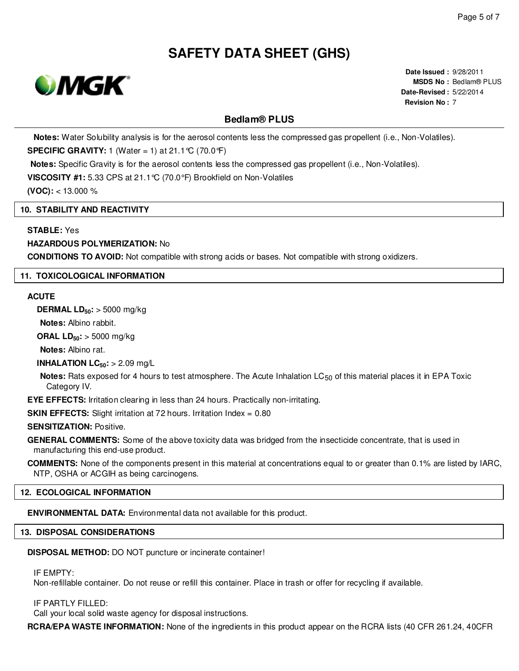

**Date Issued :** 9/28/2011 **MSDS No :** Bedlam® PLUS **Date-Revised :** 5/22/2014 **Revision No :** 7

# **Bedlam® PLUS**

**Notes:** Water Solubility analysis is for the aerosol contents less the compressed gas propellent (i.e., Non-Volatiles).

**SPECIFIC GRAVITY:** 1 (Water = 1) at 21.1°C (70.0°F)

**Notes:** Specific Gravity is for the aerosol contents less the compressed gas propellent (i.e., Non-Volatiles).

**VISCOSITY #1:** 5.33 CPS at 21.1°C (70.0°F) Brookfield on Non-Volatiles

**(VOC):** < 13.000 %

#### **10. STABILITY AND REACTIVITY**

#### **STABLE:** Yes

#### **HAZARDOUS POLYMERIZATION:** No

**CONDITIONS TO AVOID:** Not compatible with strong acids or bases. Not compatible with strong oxidizers.

#### **11. TOXICOLOGICAL INFORMATION**

#### **ACUTE**

**DERMAL LD50:** > 5000 mg/kg

**Notes:** Albino rabbit.

**ORAL LD50:** > 5000 mg/kg

**Notes:** Albino rat.

**INHALATION LC50:** > 2.09 mg/L

**Notes:** Rats exposed for 4 hours to test atmosphere. The Acute Inhalation LC<sub>50</sub> of this material places it in EPA Toxic Category IV.

**EYE EFFECTS:** Irritation clearing in less than 24 hours. Practically non-irritating.

**SKIN EFFECTS:** Slight irritation at 72 hours. Irritation Index = 0.80

#### **SENSITIZATION:** Positive.

**GENERAL COMMENTS:** Some of the above toxicity data was bridged from the insecticide concentrate, that is used in manufacturing this end-use product.

**COMMENTS:** None of the components present in this material at concentrations equal to or greater than 0.1% are listed by IARC, NTP, OSHA or ACGIH as being carcinogens.

#### **12. ECOLOGICAL INFORMATION**

**ENVIRONMENTAL DATA:** Environmental data not available for this product.

#### **13. DISPOSAL CONSIDERATIONS**

**DISPOSAL METHOD:** DO NOT puncture or incinerate container!

IF EMPTY:

Non-refillable container. Do not reuse or refill this container. Place in trash or offer for recycling if available.

#### IF PARTLY FILLED:

Call your local solid waste agency for disposal instructions.

**RCRA/EPA WASTE INFORMATION:** None of the ingredients in this product appear on the RCRA lists (40 CFR 261.24, 40CFR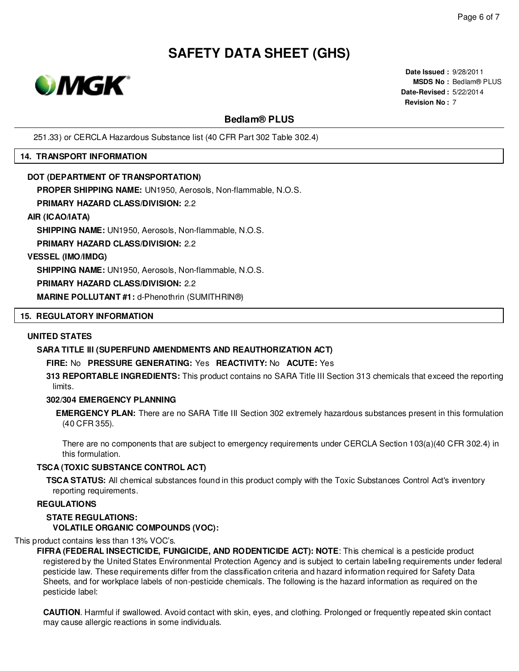

**Date Issued :** 9/28/2011 **MSDS No :** Bedlam® PLUS **Date-Revised :** 5/22/2014 **Revision No :** 7

# **Bedlam® PLUS**

251.33) or CERCLA Hazardous Substance list (40 CFR Part 302 Table 302.4)

#### **14. TRANSPORT INFORMATION**

#### **DOT (DEPARTMENT OF TRANSPORTATION)**

**PROPER SHIPPING NAME:** UN1950, Aerosols, Non-flammable, N.O.S.

#### **PRIMARY HAZARD CLASS/DIVISION:** 2.2

#### **AIR (ICAO/IATA)**

**SHIPPING NAME:** UN1950, Aerosols, Non-flammable, N.O.S.

**PRIMARY HAZARD CLASS/DIVISION:** 2.2

#### **VESSEL (IMO/IMDG)**

**SHIPPING NAME:** UN1950, Aerosols, Non-flammable, N.O.S.

#### **PRIMARY HAZARD CLASS/DIVISION:** 2.2

**MARINE POLLUTANT #1:** d-Phenothrin (SUMITHRIN®)

#### **15. REGULATORY INFORMATION**

#### **UNITED STATES**

#### **SARA TITLE III (SUPERFUND AMENDMENTS AND REAUTHORIZATION ACT)**

### **FIRE:** No **PRESSURE GENERATING:** Yes **REACTIVITY:** No **ACUTE:** Yes

**313 REPORTABLE INGREDIENTS:** This product contains no SARA Title III Section 313 chemicals that exceed the reporting limits.

#### **302/304 EMERGENCY PLANNING**

**EMERGENCY PLAN:** There are no SARA Title III Section 302 extremely hazardous substances present in this formulation (40 CFR 355).

There are no components that are subject to emergency requirements under CERCLA Section 103(a)(40 CFR 302.4) in this formulation.

#### **TSCA (TOXIC SUBSTANCE CONTROL ACT)**

**TSCA STATUS:** All chemical substances found in this product comply with the Toxic Substances Control Act's inventory reporting requirements.

### **REGULATIONS**

#### **STATE REGULATIONS: VOLATILE ORGANIC COMPOUNDS (VOC):**

This product contains less than 13% VOC's.

**FIFRA (FEDERAL INSECTICIDE, FUNGICIDE, AND RODENTICIDE ACT): NOTE**: This chemical is a pesticide product registered by the United States Environmental Protection Agency and is subject to certain labeling requirements under federal pesticide law. These requirements differ from the classification criteria and hazard information required for Safety Data Sheets, and for workplace labels of non-pesticide chemicals. The following is the hazard information as required on the pesticide label:

**CAUTION**. Harmful if swallowed. Avoid contact with skin, eyes, and clothing. Prolonged or frequently repeated skin contact may cause allergic reactions in some individuals.